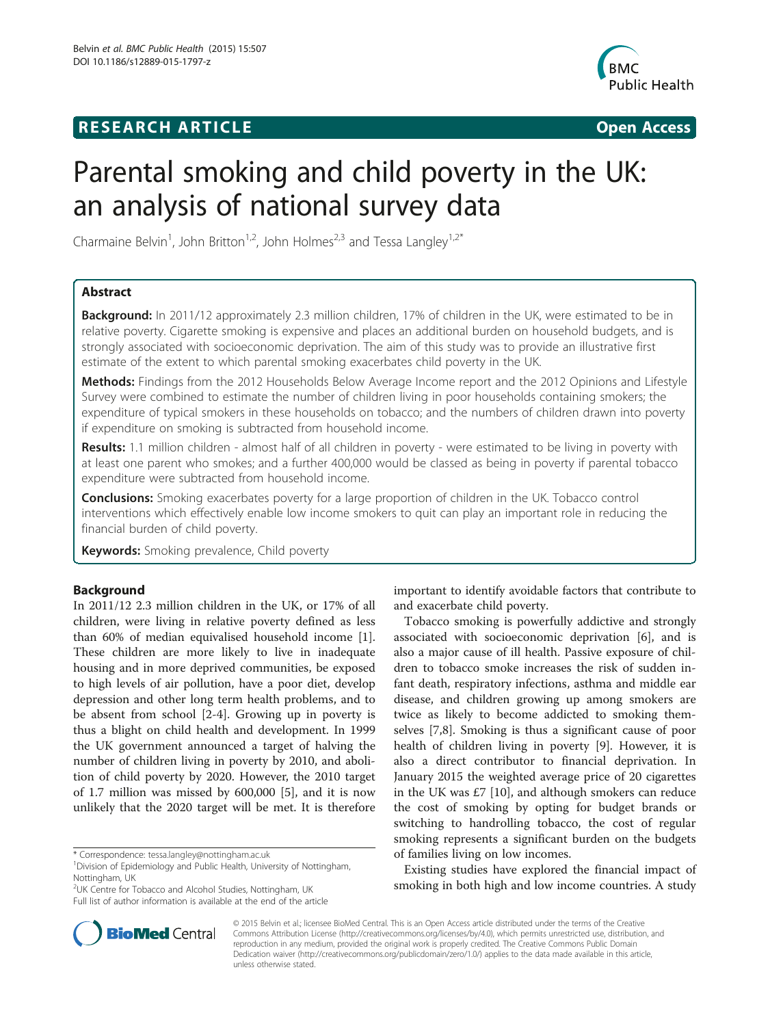# **RESEARCH ARTICLE Example 2018 12:00 Open Access**



# Parental smoking and child poverty in the UK: an analysis of national survey data

Charmaine Belvin<sup>1</sup>, John Britton<sup>1,2</sup>, John Holmes<sup>2,3</sup> and Tessa Langley<sup>1,2\*</sup>

## Abstract

**Background:** In 2011/12 approximately 2.3 million children, 17% of children in the UK, were estimated to be in relative poverty. Cigarette smoking is expensive and places an additional burden on household budgets, and is strongly associated with socioeconomic deprivation. The aim of this study was to provide an illustrative first estimate of the extent to which parental smoking exacerbates child poverty in the UK.

Methods: Findings from the 2012 Households Below Average Income report and the 2012 Opinions and Lifestyle Survey were combined to estimate the number of children living in poor households containing smokers; the expenditure of typical smokers in these households on tobacco; and the numbers of children drawn into poverty if expenditure on smoking is subtracted from household income.

Results: 1.1 million children - almost half of all children in poverty - were estimated to be living in poverty with at least one parent who smokes; and a further 400,000 would be classed as being in poverty if parental tobacco expenditure were subtracted from household income.

**Conclusions:** Smoking exacerbates poverty for a large proportion of children in the UK. Tobacco control interventions which effectively enable low income smokers to quit can play an important role in reducing the financial burden of child poverty.

Keywords: Smoking prevalence, Child poverty

## Background

In 2011/12 2.3 million children in the UK, or 17% of all children, were living in relative poverty defined as less than 60% of median equivalised household income [\[1](#page-6-0)]. These children are more likely to live in inadequate housing and in more deprived communities, be exposed to high levels of air pollution, have a poor diet, develop depression and other long term health problems, and to be absent from school [\[2](#page-6-0)-[4\]](#page-6-0). Growing up in poverty is thus a blight on child health and development. In 1999 the UK government announced a target of halving the number of children living in poverty by 2010, and abolition of child poverty by 2020. However, the 2010 target of 1.7 million was missed by 600,000 [\[5](#page-6-0)], and it is now unlikely that the 2020 target will be met. It is therefore

\* Correspondence: [tessa.langley@nottingham.ac.uk](mailto:tessa.langley@nottingham.ac.uk) <sup>1</sup>



Tobacco smoking is powerfully addictive and strongly associated with socioeconomic deprivation [[6\]](#page-7-0), and is also a major cause of ill health. Passive exposure of children to tobacco smoke increases the risk of sudden infant death, respiratory infections, asthma and middle ear disease, and children growing up among smokers are twice as likely to become addicted to smoking themselves [\[7,8](#page-7-0)]. Smoking is thus a significant cause of poor health of children living in poverty [[9\]](#page-7-0). However, it is also a direct contributor to financial deprivation. In January 2015 the weighted average price of 20 cigarettes in the UK was £7 [\[10](#page-7-0)], and although smokers can reduce the cost of smoking by opting for budget brands or switching to handrolling tobacco, the cost of regular smoking represents a significant burden on the budgets of families living on low incomes.

Existing studies have explored the financial impact of smoking in both high and low income countries. A study



© 2015 Belvin et al.; licensee BioMed Central. This is an Open Access article distributed under the terms of the Creative Commons Attribution License [\(http://creativecommons.org/licenses/by/4.0\)](http://creativecommons.org/licenses/by/4.0), which permits unrestricted use, distribution, and reproduction in any medium, provided the original work is properly credited. The Creative Commons Public Domain Dedication waiver [\(http://creativecommons.org/publicdomain/zero/1.0/](http://creativecommons.org/publicdomain/zero/1.0/)) applies to the data made available in this article, unless otherwise stated.

Division of Epidemiology and Public Health, University of Nottingham, Nottingham, UK

<sup>2</sup> UK Centre for Tobacco and Alcohol Studies, Nottingham, UK Full list of author information is available at the end of the article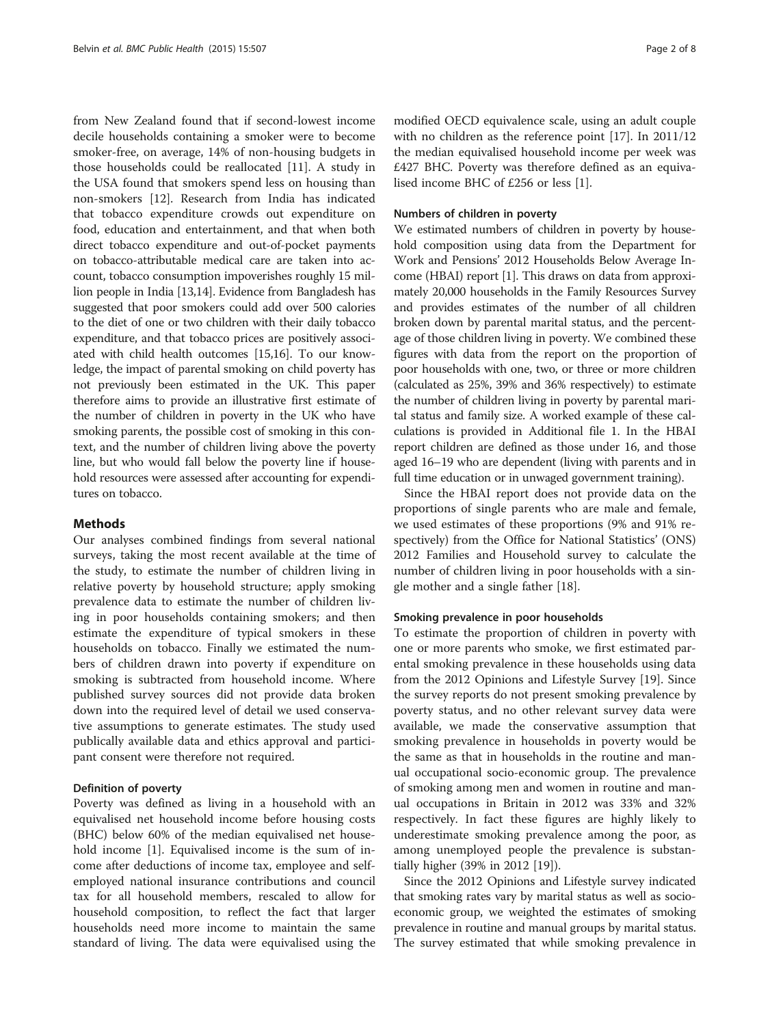from New Zealand found that if second-lowest income decile households containing a smoker were to become smoker-free, on average, 14% of non-housing budgets in those households could be reallocated [[11](#page-7-0)]. A study in the USA found that smokers spend less on housing than non-smokers [[12\]](#page-7-0). Research from India has indicated that tobacco expenditure crowds out expenditure on food, education and entertainment, and that when both direct tobacco expenditure and out-of-pocket payments on tobacco-attributable medical care are taken into account, tobacco consumption impoverishes roughly 15 million people in India [\[13,14](#page-7-0)]. Evidence from Bangladesh has suggested that poor smokers could add over 500 calories to the diet of one or two children with their daily tobacco expenditure, and that tobacco prices are positively associated with child health outcomes [[15,16\]](#page-7-0). To our knowledge, the impact of parental smoking on child poverty has not previously been estimated in the UK. This paper therefore aims to provide an illustrative first estimate of the number of children in poverty in the UK who have smoking parents, the possible cost of smoking in this context, and the number of children living above the poverty line, but who would fall below the poverty line if household resources were assessed after accounting for expenditures on tobacco.

#### **Mathods**

Our analyses combined findings from several national surveys, taking the most recent available at the time of the study, to estimate the number of children living in relative poverty by household structure; apply smoking prevalence data to estimate the number of children living in poor households containing smokers; and then estimate the expenditure of typical smokers in these households on tobacco. Finally we estimated the numbers of children drawn into poverty if expenditure on smoking is subtracted from household income. Where published survey sources did not provide data broken down into the required level of detail we used conservative assumptions to generate estimates. The study used publically available data and ethics approval and participant consent were therefore not required.

#### Definition of poverty

Poverty was defined as living in a household with an equivalised net household income before housing costs (BHC) below 60% of the median equivalised net household income [[1\]](#page-6-0). Equivalised income is the sum of income after deductions of income tax, employee and selfemployed national insurance contributions and council tax for all household members, rescaled to allow for household composition, to reflect the fact that larger households need more income to maintain the same standard of living. The data were equivalised using the

modified OECD equivalence scale, using an adult couple with no children as the reference point [[17](#page-7-0)]. In 2011/12 the median equivalised household income per week was £427 BHC. Poverty was therefore defined as an equivalised income BHC of £256 or less [\[1\]](#page-6-0).

#### Numbers of children in poverty

We estimated numbers of children in poverty by household composition using data from the Department for Work and Pensions' 2012 Households Below Average Income (HBAI) report [\[1](#page-6-0)]. This draws on data from approximately 20,000 households in the Family Resources Survey and provides estimates of the number of all children broken down by parental marital status, and the percentage of those children living in poverty. We combined these figures with data from the report on the proportion of poor households with one, two, or three or more children (calculated as 25%, 39% and 36% respectively) to estimate the number of children living in poverty by parental marital status and family size. A worked example of these calculations is provided in Additional file [1.](#page-6-0) In the HBAI report children are defined as those under 16, and those aged 16–19 who are dependent (living with parents and in full time education or in unwaged government training).

Since the HBAI report does not provide data on the proportions of single parents who are male and female, we used estimates of these proportions (9% and 91% respectively) from the Office for National Statistics' (ONS) 2012 Families and Household survey to calculate the number of children living in poor households with a single mother and a single father [[18\]](#page-7-0).

#### Smoking prevalence in poor households

To estimate the proportion of children in poverty with one or more parents who smoke, we first estimated parental smoking prevalence in these households using data from the 2012 Opinions and Lifestyle Survey [\[19](#page-7-0)]. Since the survey reports do not present smoking prevalence by poverty status, and no other relevant survey data were available, we made the conservative assumption that smoking prevalence in households in poverty would be the same as that in households in the routine and manual occupational socio-economic group. The prevalence of smoking among men and women in routine and manual occupations in Britain in 2012 was 33% and 32% respectively. In fact these figures are highly likely to underestimate smoking prevalence among the poor, as among unemployed people the prevalence is substantially higher (39% in 2012 [[19](#page-7-0)]).

Since the 2012 Opinions and Lifestyle survey indicated that smoking rates vary by marital status as well as socioeconomic group, we weighted the estimates of smoking prevalence in routine and manual groups by marital status. The survey estimated that while smoking prevalence in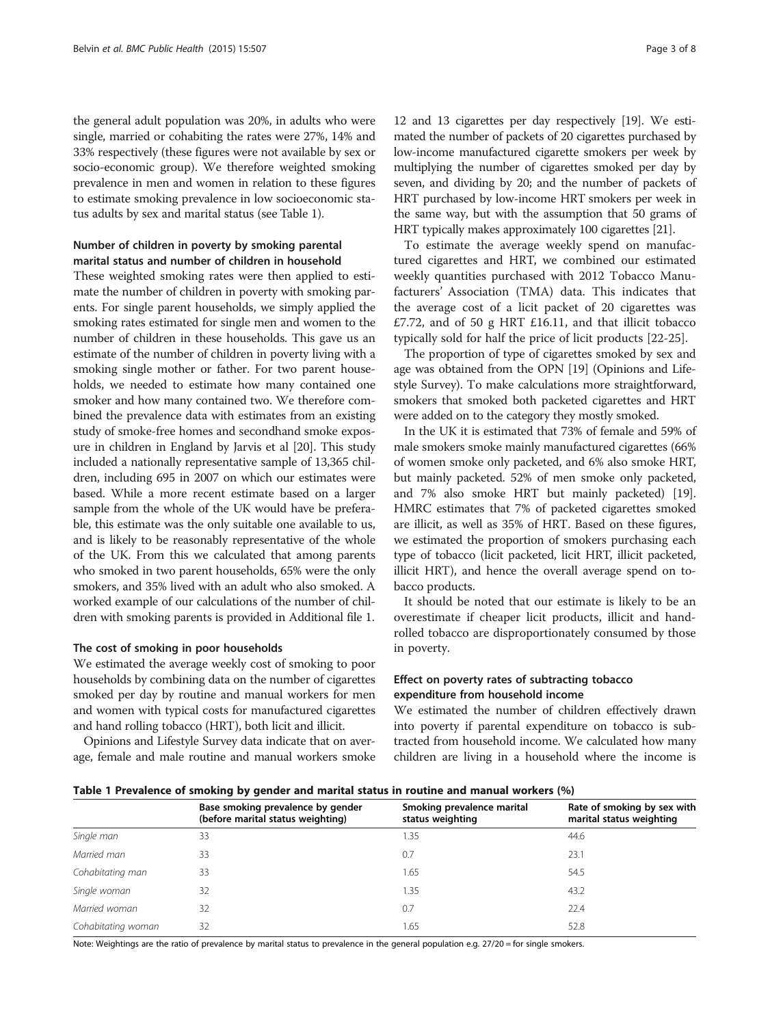the general adult population was 20%, in adults who were single, married or cohabiting the rates were 27%, 14% and 33% respectively (these figures were not available by sex or socio-economic group). We therefore weighted smoking prevalence in men and women in relation to these figures to estimate smoking prevalence in low socioeconomic status adults by sex and marital status (see Table 1).

## Number of children in poverty by smoking parental marital status and number of children in household

These weighted smoking rates were then applied to estimate the number of children in poverty with smoking parents. For single parent households, we simply applied the smoking rates estimated for single men and women to the number of children in these households. This gave us an estimate of the number of children in poverty living with a smoking single mother or father. For two parent households, we needed to estimate how many contained one smoker and how many contained two. We therefore combined the prevalence data with estimates from an existing study of smoke-free homes and secondhand smoke exposure in children in England by Jarvis et al [[20](#page-7-0)]. This study included a nationally representative sample of 13,365 children, including 695 in 2007 on which our estimates were based. While a more recent estimate based on a larger sample from the whole of the UK would have be preferable, this estimate was the only suitable one available to us, and is likely to be reasonably representative of the whole of the UK. From this we calculated that among parents who smoked in two parent households, 65% were the only smokers, and 35% lived with an adult who also smoked. A worked example of our calculations of the number of children with smoking parents is provided in Additional file [1.](#page-6-0)

#### The cost of smoking in poor households

We estimated the average weekly cost of smoking to poor households by combining data on the number of cigarettes smoked per day by routine and manual workers for men and women with typical costs for manufactured cigarettes and hand rolling tobacco (HRT), both licit and illicit.

Opinions and Lifestyle Survey data indicate that on average, female and male routine and manual workers smoke

12 and 13 cigarettes per day respectively [[19](#page-7-0)]. We estimated the number of packets of 20 cigarettes purchased by low-income manufactured cigarette smokers per week by multiplying the number of cigarettes smoked per day by seven, and dividing by 20; and the number of packets of HRT purchased by low-income HRT smokers per week in the same way, but with the assumption that 50 grams of HRT typically makes approximately 100 cigarettes [\[21](#page-7-0)].

To estimate the average weekly spend on manufactured cigarettes and HRT, we combined our estimated weekly quantities purchased with 2012 Tobacco Manufacturers' Association (TMA) data. This indicates that the average cost of a licit packet of 20 cigarettes was £7.72, and of 50 g HRT £16.11, and that illicit tobacco typically sold for half the price of licit products [[22-25](#page-7-0)].

The proportion of type of cigarettes smoked by sex and age was obtained from the OPN [[19](#page-7-0)] (Opinions and Lifestyle Survey). To make calculations more straightforward, smokers that smoked both packeted cigarettes and HRT were added on to the category they mostly smoked.

In the UK it is estimated that 73% of female and 59% of male smokers smoke mainly manufactured cigarettes (66% of women smoke only packeted, and 6% also smoke HRT, but mainly packeted. 52% of men smoke only packeted, and 7% also smoke HRT but mainly packeted) [[19](#page-7-0)]. HMRC estimates that 7% of packeted cigarettes smoked are illicit, as well as 35% of HRT. Based on these figures, we estimated the proportion of smokers purchasing each type of tobacco (licit packeted, licit HRT, illicit packeted, illicit HRT), and hence the overall average spend on tobacco products.

It should be noted that our estimate is likely to be an overestimate if cheaper licit products, illicit and handrolled tobacco are disproportionately consumed by those in poverty.

## Effect on poverty rates of subtracting tobacco expenditure from household income

We estimated the number of children effectively drawn into poverty if parental expenditure on tobacco is subtracted from household income. We calculated how many children are living in a household where the income is

Table 1 Prevalence of smoking by gender and marital status in routine and manual workers (%)

|                    | Base smoking prevalence by gender<br>(before marital status weighting) | Smoking prevalence marital<br>status weighting | Rate of smoking by sex with<br>marital status weighting |
|--------------------|------------------------------------------------------------------------|------------------------------------------------|---------------------------------------------------------|
| Single man         | 33                                                                     | 1.35                                           | 44.6                                                    |
| Married man        | 33                                                                     | 0.7                                            | 23.1                                                    |
| Cohabitating man   | 33                                                                     | 1.65                                           | 54.5                                                    |
| Single woman       | 32                                                                     | 1.35                                           | 43.2                                                    |
| Married woman      | 32                                                                     | 0.7                                            | 22.4                                                    |
| Cohabitating woman | 32                                                                     | 1.65                                           | 52.8                                                    |

Note: Weightings are the ratio of prevalence by marital status to prevalence in the general population e.g. 27/20 = for single smokers.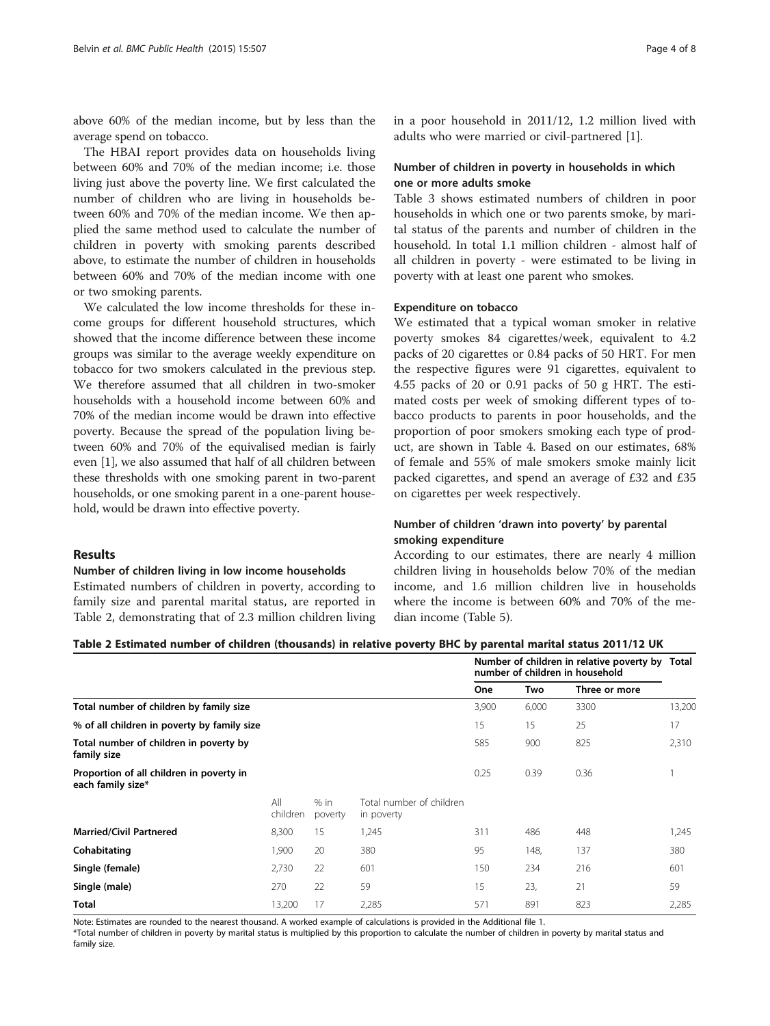above 60% of the median income, but by less than the average spend on tobacco.

The HBAI report provides data on households living between 60% and 70% of the median income; i.e. those living just above the poverty line. We first calculated the number of children who are living in households between 60% and 70% of the median income. We then applied the same method used to calculate the number of children in poverty with smoking parents described above, to estimate the number of children in households between 60% and 70% of the median income with one or two smoking parents.

We calculated the low income thresholds for these income groups for different household structures, which showed that the income difference between these income groups was similar to the average weekly expenditure on tobacco for two smokers calculated in the previous step. We therefore assumed that all children in two-smoker households with a household income between 60% and 70% of the median income would be drawn into effective poverty. Because the spread of the population living between 60% and 70% of the equivalised median is fairly even [\[1\]](#page-6-0), we also assumed that half of all children between these thresholds with one smoking parent in two-parent households, or one smoking parent in a one-parent household, would be drawn into effective poverty.

## Results

#### Number of children living in low income households

Estimated numbers of children in poverty, according to family size and parental marital status, are reported in Table 2, demonstrating that of 2.3 million children living in a poor household in 2011/12, 1.2 million lived with adults who were married or civil-partnered [\[1](#page-6-0)].

## Number of children in poverty in households in which one or more adults smoke

Table [3](#page-4-0) shows estimated numbers of children in poor households in which one or two parents smoke, by marital status of the parents and number of children in the household. In total 1.1 million children - almost half of all children in poverty - were estimated to be living in poverty with at least one parent who smokes.

#### Expenditure on tobacco

We estimated that a typical woman smoker in relative poverty smokes 84 cigarettes/week, equivalent to 4.2 packs of 20 cigarettes or 0.84 packs of 50 HRT. For men the respective figures were 91 cigarettes, equivalent to 4.55 packs of 20 or 0.91 packs of 50 g HRT. The estimated costs per week of smoking different types of tobacco products to parents in poor households, and the proportion of poor smokers smoking each type of product, are shown in Table [4](#page-4-0). Based on our estimates, 68% of female and 55% of male smokers smoke mainly licit packed cigarettes, and spend an average of £32 and £35 on cigarettes per week respectively.

## Number of children 'drawn into poverty' by parental smoking expenditure

According to our estimates, there are nearly 4 million children living in households below 70% of the median income, and 1.6 million children live in households where the income is between 60% and 70% of the median income (Table [5](#page-5-0)).

#### Table 2 Estimated number of children (thousands) in relative poverty BHC by parental marital status 2011/12 UK

|                                                               |                 |                   |                                        | Number of children in relative poverty by<br>number of children in household |       |               | Total  |
|---------------------------------------------------------------|-----------------|-------------------|----------------------------------------|------------------------------------------------------------------------------|-------|---------------|--------|
|                                                               |                 |                   |                                        | One                                                                          | Two   | Three or more |        |
| Total number of children by family size                       |                 |                   |                                        | 3,900                                                                        | 6,000 | 3300          | 13,200 |
| % of all children in poverty by family size                   |                 |                   |                                        | 15                                                                           | 15    | 25            | 17     |
| Total number of children in poverty by<br>family size         |                 |                   |                                        | 585                                                                          | 900   | 825           | 2,310  |
| Proportion of all children in poverty in<br>each family size* |                 |                   |                                        | 0.25                                                                         | 0.39  | 0.36          |        |
|                                                               | All<br>children | $%$ in<br>poverty | Total number of children<br>in poverty |                                                                              |       |               |        |
| <b>Married/Civil Partnered</b>                                | 8,300           | 15                | 1,245                                  | 311                                                                          | 486   | 448           | 1,245  |
| Cohabitating                                                  | 1,900           | 20                | 380                                    | 95                                                                           | 148,  | 137           | 380    |
| Single (female)                                               | 2,730           | 22                | 601                                    | 150                                                                          | 234   | 216           | 601    |
| Single (male)                                                 | 270             | 22                | 59                                     | 15                                                                           | 23,   | 21            | 59     |
| <b>Total</b>                                                  | 13,200          | 17                | 2,285                                  | 571                                                                          | 891   | 823           | 2,285  |

Note: Estimates are rounded to the nearest thousand. A worked example of calculations is provided in the Additional file [1](#page-6-0).

\*Total number of children in poverty by marital status is multiplied by this proportion to calculate the number of children in poverty by marital status and family size.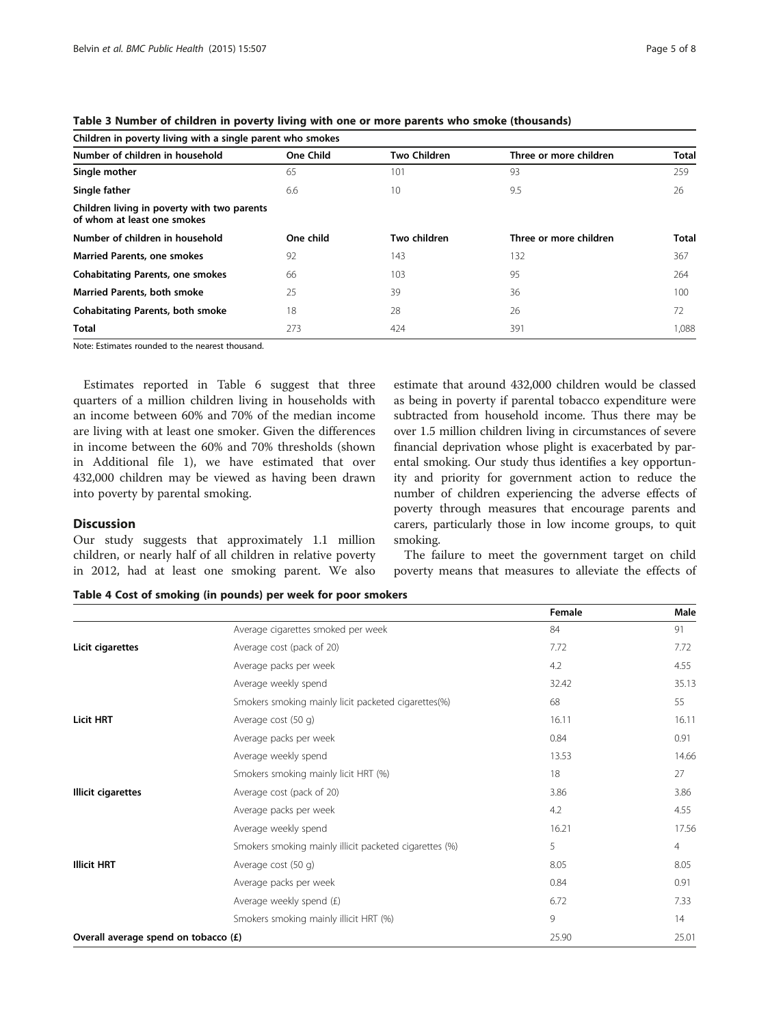| Children in poverty living with a single parent who smokes                 |                  |                     |                        |              |  |  |  |
|----------------------------------------------------------------------------|------------------|---------------------|------------------------|--------------|--|--|--|
| Number of children in household                                            | <b>One Child</b> | <b>Two Children</b> | Three or more children | <b>Total</b> |  |  |  |
| Single mother                                                              | 65               | 101                 | 93                     | 259          |  |  |  |
| Single father                                                              | 6.6              | 10                  | 9.5                    | 26           |  |  |  |
| Children living in poverty with two parents<br>of whom at least one smokes |                  |                     |                        |              |  |  |  |
| Number of children in household                                            | One child        | Two children        | Three or more children | Total        |  |  |  |
| <b>Married Parents, one smokes</b>                                         | 92               | 143                 | 132                    | 367          |  |  |  |
| <b>Cohabitating Parents, one smokes</b>                                    | 66               | 103                 | 95                     | 264          |  |  |  |
| <b>Married Parents, both smoke</b>                                         | 25               | 39                  | 36                     | 100          |  |  |  |
| <b>Cohabitating Parents, both smoke</b>                                    | 18               | 28                  | 26                     | 72           |  |  |  |
| <b>Total</b>                                                               | 273              | 424                 | 391                    | 1,088        |  |  |  |

<span id="page-4-0"></span>Table 3 Number of children in poverty living with one or more parents who smoke (thousands)

Note: Estimates rounded to the nearest thousand.

Estimates reported in Table [6](#page-5-0) suggest that three quarters of a million children living in households with an income between 60% and 70% of the median income are living with at least one smoker. Given the differences in income between the 60% and 70% thresholds (shown in Additional file [1\)](#page-6-0), we have estimated that over 432,000 children may be viewed as having been drawn into poverty by parental smoking.

## **Discussion**

Our study suggests that approximately 1.1 million children, or nearly half of all children in relative poverty in 2012, had at least one smoking parent. We also estimate that around 432,000 children would be classed as being in poverty if parental tobacco expenditure were subtracted from household income. Thus there may be over 1.5 million children living in circumstances of severe financial deprivation whose plight is exacerbated by parental smoking. Our study thus identifies a key opportunity and priority for government action to reduce the number of children experiencing the adverse effects of poverty through measures that encourage parents and carers, particularly those in low income groups, to quit smoking.

The failure to meet the government target on child poverty means that measures to alleviate the effects of

Table 4 Cost of smoking (in pounds) per week for poor smokers

|                                                        |       | Male           |
|--------------------------------------------------------|-------|----------------|
| Average cigarettes smoked per week                     | 84    | 91             |
| Average cost (pack of 20)                              | 7.72  | 7.72           |
| Average packs per week                                 | 4.2   | 4.55           |
| Average weekly spend                                   | 32.42 | 35.13          |
| Smokers smoking mainly licit packeted cigarettes(%)    | 68    | 55             |
| Average cost (50 g)                                    | 16.11 | 16.11          |
| Average packs per week                                 | 0.84  | 0.91           |
| Average weekly spend                                   | 13.53 | 14.66          |
| Smokers smoking mainly licit HRT (%)                   | 18    | 27             |
| Average cost (pack of 20)                              | 3.86  | 3.86           |
| Average packs per week                                 | 4.2   | 4.55           |
| Average weekly spend                                   | 16.21 | 17.56          |
| Smokers smoking mainly illicit packeted cigarettes (%) | 5     | $\overline{4}$ |
| Average cost (50 g)                                    | 8.05  | 8.05           |
| Average packs per week                                 | 0.84  | 0.91           |
| Average weekly spend (£)                               | 6.72  | 7.33           |
| Smokers smoking mainly illicit HRT (%)                 | 9     | 14             |
| Overall average spend on tobacco (£)                   | 25.90 | 25.01          |
|                                                        |       | Female         |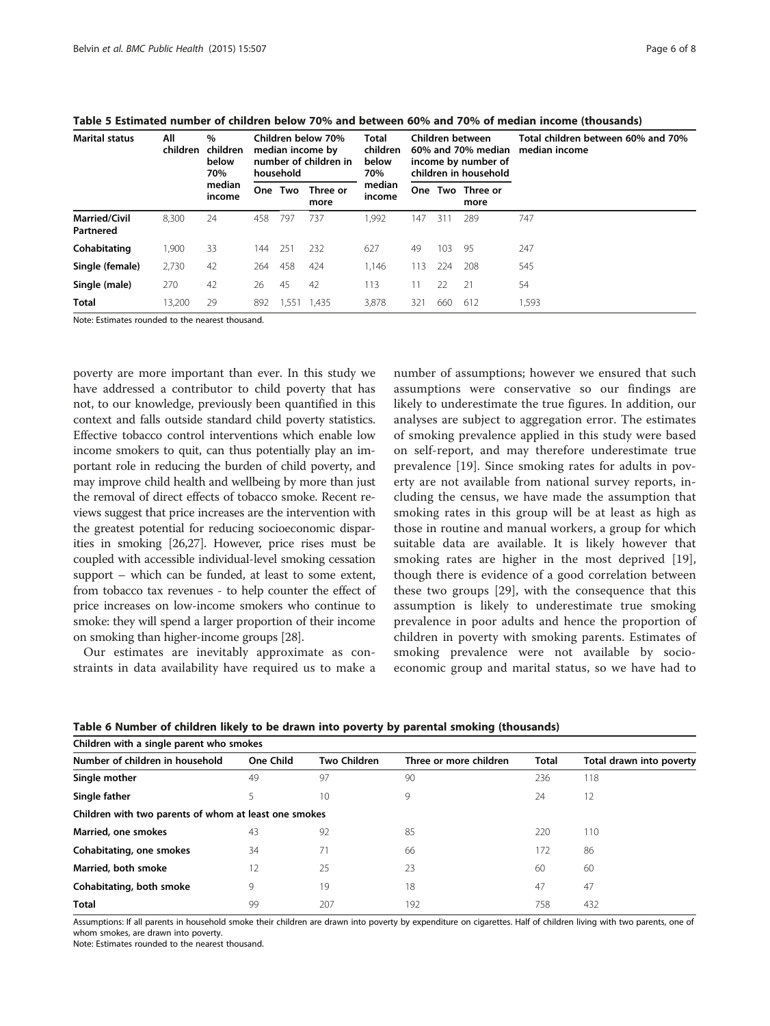| <b>Marital status</b>             | All<br>children | %<br>children<br>below<br>70%<br>median<br>income | Children below 70%<br>median income by<br>number of children in<br>household |         | <b>Total</b><br>children<br>below<br>70% | Children between<br>60% and 70% median<br>income by number of<br>children in household |     |     | Total children between 60% and 70%<br>median income |       |
|-----------------------------------|-----------------|---------------------------------------------------|------------------------------------------------------------------------------|---------|------------------------------------------|----------------------------------------------------------------------------------------|-----|-----|-----------------------------------------------------|-------|
|                                   |                 |                                                   |                                                                              | One Two | Three or<br>more                         | median<br>income                                                                       | One |     | Two Three or<br>more                                |       |
| <b>Married/Civil</b><br>Partnered | 8,300           | 24                                                | 458                                                                          | 797     | 737                                      | 1,992                                                                                  | 147 | 311 | 289                                                 | 747   |
| Cohabitating                      | 1,900           | 33                                                | 144                                                                          | 251     | 232                                      | 627                                                                                    | 49  | 103 | 95                                                  | 247   |
| Single (female)                   | 2,730           | 42                                                | 264                                                                          | 458     | 424                                      | 1.146                                                                                  | 113 | 224 | 208                                                 | 545   |
| Single (male)                     | 270             | 42                                                | 26                                                                           | 45      | 42                                       | 113                                                                                    | 11  | 22  | -21                                                 | 54    |
| <b>Total</b>                      | 13,200          | 29                                                | 892                                                                          | 1,551   | 1.435                                    | 3,878                                                                                  | 321 | 660 | 612                                                 | 1,593 |

<span id="page-5-0"></span>Table 5 Estimated number of children below 70% and between 60% and 70% of median income (thousands)

Note: Estimates rounded to the nearest thousand.

poverty are more important than ever. In this study we have addressed a contributor to child poverty that has not, to our knowledge, previously been quantified in this context and falls outside standard child poverty statistics. Effective tobacco control interventions which enable low income smokers to quit, can thus potentially play an important role in reducing the burden of child poverty, and may improve child health and wellbeing by more than just the removal of direct effects of tobacco smoke. Recent reviews suggest that price increases are the intervention with the greatest potential for reducing socioeconomic disparities in smoking [\[26,27\]](#page-7-0). However, price rises must be coupled with accessible individual-level smoking cessation support – which can be funded, at least to some extent, from tobacco tax revenues - to help counter the effect of price increases on low-income smokers who continue to smoke: they will spend a larger proportion of their income on smoking than higher-income groups [[28](#page-7-0)].

Our estimates are inevitably approximate as constraints in data availability have required us to make a number of assumptions; however we ensured that such assumptions were conservative so our findings are likely to underestimate the true figures. In addition, our analyses are subject to aggregation error. The estimates of smoking prevalence applied in this study were based on self-report, and may therefore underestimate true prevalence [[19](#page-7-0)]. Since smoking rates for adults in poverty are not available from national survey reports, including the census, we have made the assumption that smoking rates in this group will be at least as high as those in routine and manual workers, a group for which suitable data are available. It is likely however that smoking rates are higher in the most deprived [\[19](#page-7-0)], though there is evidence of a good correlation between these two groups [[29\]](#page-7-0), with the consequence that this assumption is likely to underestimate true smoking prevalence in poor adults and hence the proportion of children in poverty with smoking parents. Estimates of smoking prevalence were not available by socioeconomic group and marital status, so we have had to

| Children with a single parent who smokes              |           |              |                        |       |                          |  |  |
|-------------------------------------------------------|-----------|--------------|------------------------|-------|--------------------------|--|--|
| Number of children in household                       | One Child | Two Children | Three or more children | Total | Total drawn into poverty |  |  |
| Single mother                                         | 49        | 97           | 90                     | 236   | 118                      |  |  |
| Single father                                         |           | 10           | 9                      | 24    | 12                       |  |  |
| Children with two parents of whom at least one smokes |           |              |                        |       |                          |  |  |
| Married, one smokes                                   | 43        | 92           | 85                     | 220   | 110                      |  |  |
| Cohabitating, one smokes                              | 34        | 71           | 66                     | 172   | 86                       |  |  |
| Married, both smoke                                   | 12        | 25           | 23                     | 60    | 60                       |  |  |
| Cohabitating, both smoke                              | 9         | 19           | 18                     | 47    | 47                       |  |  |
| <b>Total</b>                                          | 99        | 207          | 192                    | 758   | 432                      |  |  |

Table 6 Number of children likely to be drawn into poverty by parental smoking (thousands)

Assumptions: If all parents in household smoke their children are drawn into poverty by expenditure on cigarettes. Half of children living with two parents, one of whom smokes, are drawn into poverty.

Note: Estimates rounded to the nearest thousand.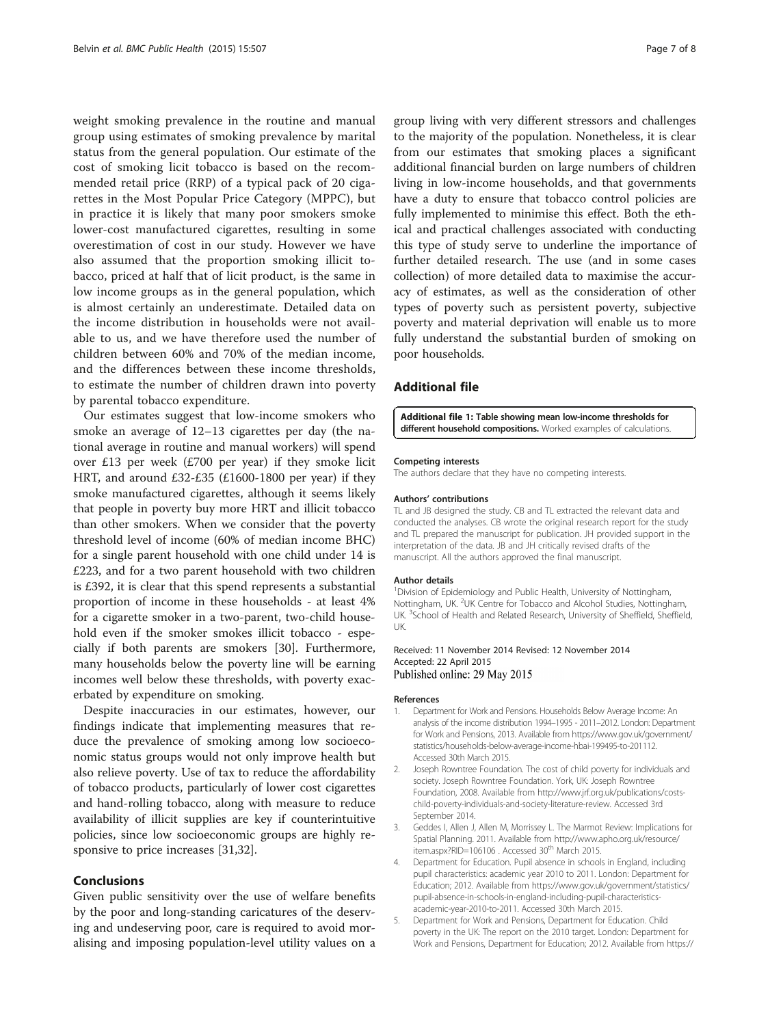<span id="page-6-0"></span>weight smoking prevalence in the routine and manual group using estimates of smoking prevalence by marital status from the general population. Our estimate of the cost of smoking licit tobacco is based on the recommended retail price (RRP) of a typical pack of 20 cigarettes in the Most Popular Price Category (MPPC), but in practice it is likely that many poor smokers smoke lower-cost manufactured cigarettes, resulting in some overestimation of cost in our study. However we have also assumed that the proportion smoking illicit tobacco, priced at half that of licit product, is the same in low income groups as in the general population, which is almost certainly an underestimate. Detailed data on the income distribution in households were not available to us, and we have therefore used the number of children between 60% and 70% of the median income, and the differences between these income thresholds, to estimate the number of children drawn into poverty by parental tobacco expenditure.

Our estimates suggest that low-income smokers who smoke an average of 12–13 cigarettes per day (the national average in routine and manual workers) will spend over £13 per week (£700 per year) if they smoke licit HRT, and around £32-£35 (£1600-1800 per year) if they smoke manufactured cigarettes, although it seems likely that people in poverty buy more HRT and illicit tobacco than other smokers. When we consider that the poverty threshold level of income (60% of median income BHC) for a single parent household with one child under 14 is £223, and for a two parent household with two children is £392, it is clear that this spend represents a substantial proportion of income in these households - at least 4% for a cigarette smoker in a two-parent, two-child household even if the smoker smokes illicit tobacco - especially if both parents are smokers [[30](#page-7-0)]. Furthermore, many households below the poverty line will be earning incomes well below these thresholds, with poverty exacerbated by expenditure on smoking.

Despite inaccuracies in our estimates, however, our findings indicate that implementing measures that reduce the prevalence of smoking among low socioeconomic status groups would not only improve health but also relieve poverty. Use of tax to reduce the affordability of tobacco products, particularly of lower cost cigarettes and hand-rolling tobacco, along with measure to reduce availability of illicit supplies are key if counterintuitive policies, since low socioeconomic groups are highly responsive to price increases [[31,32\]](#page-7-0).

## Conclusions

Given public sensitivity over the use of welfare benefits by the poor and long-standing caricatures of the deserving and undeserving poor, care is required to avoid moralising and imposing population-level utility values on a

group living with very different stressors and challenges to the majority of the population. Nonetheless, it is clear from our estimates that smoking places a significant additional financial burden on large numbers of children living in low-income households, and that governments have a duty to ensure that tobacco control policies are fully implemented to minimise this effect. Both the ethical and practical challenges associated with conducting this type of study serve to underline the importance of further detailed research. The use (and in some cases collection) of more detailed data to maximise the accuracy of estimates, as well as the consideration of other types of poverty such as persistent poverty, subjective poverty and material deprivation will enable us to more fully understand the substantial burden of smoking on poor households.

## Additional file

[Additional file 1:](http://www.biomedcentral.com/content/supplementary/s12889-015-1797-z-s1.docx) Table showing mean low-income thresholds for different household compositions. Worked examples of calculations.

#### Competing interests

The authors declare that they have no competing interests.

#### Authors' contributions

TL and JB designed the study. CB and TL extracted the relevant data and conducted the analyses. CB wrote the original research report for the study and TL prepared the manuscript for publication. JH provided support in the interpretation of the data. JB and JH critically revised drafts of the manuscript. All the authors approved the final manuscript.

#### Author details

<sup>1</sup> Division of Epidemiology and Public Health, University of Nottingham, Nottingham, UK. <sup>2</sup>UK Centre for Tobacco and Alcohol Studies, Nottingham, UK. <sup>3</sup>School of Health and Related Research, University of Sheffield, Sheffield, UK.

## Received: 11 November 2014 Revised: 12 November 2014 Accepted: 22 April 2015<br>Published online: 29 May 2015

#### References

- 1. Department for Work and Pensions. Households Below Average Income: An analysis of the income distribution 1994–1995 - 2011–2012. London: Department for Work and Pensions, 2013. Available from [https://www.gov.uk/government/](https://www.gov.uk/government/statistics/households-below-average-income-hbai-199495-to-201112) [statistics/households-below-average-income-hbai-199495-to-201112](https://www.gov.uk/government/statistics/households-below-average-income-hbai-199495-to-201112). Accessed 30th March 2015.
- 2. Joseph Rowntree Foundation. The cost of child poverty for individuals and society. Joseph Rowntree Foundation. York, UK: Joseph Rowntree Foundation, 2008. Available from [http://www.jrf.org.uk/publications/costs](http://www.jrf.org.uk/publications/costs-child-poverty-individuals-and-society-literature-review)[child-poverty-individuals-and-society-literature-review.](http://www.jrf.org.uk/publications/costs-child-poverty-individuals-and-society-literature-review) Accessed 3rd September 2014.
- 3. Geddes I, Allen J, Allen M, Morrissey L. The Marmot Review: Implications for Spatial Planning. 2011. Available from [http://www.apho.org.uk/resource/](http://www.apho.org.uk/resource/item.aspx?RID=106106) [item.aspx?RID=106106](http://www.apho.org.uk/resource/item.aspx?RID=106106) . Accessed 30<sup>th</sup> March 2015.
- 4. Department for Education. Pupil absence in schools in England, including pupil characteristics: academic year 2010 to 2011. London: Department for Education; 2012. Available from [https://www.gov.uk/government/statistics/](https://www.gov.uk/government/statistics/pupil-absence-in-schools-in-england-including-pupil-characteristics-academic-year-2010-to-2011) [pupil-absence-in-schools-in-england-including-pupil-characteristics](https://www.gov.uk/government/statistics/pupil-absence-in-schools-in-england-including-pupil-characteristics-academic-year-2010-to-2011)[academic-year-2010-to-2011](https://www.gov.uk/government/statistics/pupil-absence-in-schools-in-england-including-pupil-characteristics-academic-year-2010-to-2011). Accessed 30th March 2015.
- 5. Department for Work and Pensions, Department for Education. Child poverty in the UK: The report on the 2010 target. London: Department for Work and Pensions, Department for Education; 2012. Available from [https://](https://www.gov.uk/government/publications/child-poverty-in-the-uk-the-report-on-the-2010-target)